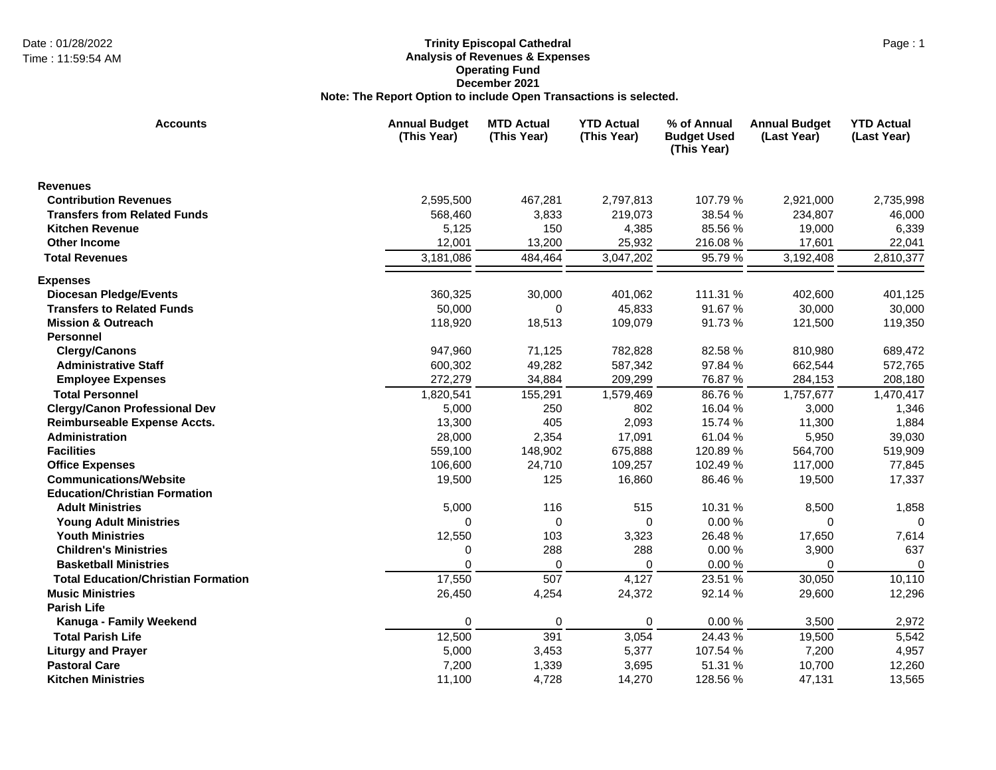## Date : 01/28/2022 Page : 1 **Trinity Episcopal Cathedral Analysis of Revenues & Expenses Operating Fund December 2021 Note: The Report Option to include Open Transactions is selected.**

| <b>Accounts</b>                            | <b>Annual Budget</b><br>(This Year) | <b>MTD Actual</b><br>(This Year) | <b>YTD Actual</b><br>(This Year) | % of Annual<br><b>Budget Used</b><br>(This Year) | <b>Annual Budget</b><br>(Last Year) | <b>YTD Actual</b><br>(Last Year) |
|--------------------------------------------|-------------------------------------|----------------------------------|----------------------------------|--------------------------------------------------|-------------------------------------|----------------------------------|
| <b>Revenues</b>                            |                                     |                                  |                                  |                                                  |                                     |                                  |
| <b>Contribution Revenues</b>               | 2,595,500                           | 467,281                          | 2,797,813                        | 107.79 %                                         | 2,921,000                           | 2,735,998                        |
| <b>Transfers from Related Funds</b>        | 568,460                             | 3,833                            | 219,073                          | 38.54 %                                          | 234,807                             | 46,000                           |
| <b>Kitchen Revenue</b>                     | 5,125                               | 150                              | 4,385                            | 85.56 %                                          | 19,000                              | 6,339                            |
| <b>Other Income</b>                        | 12,001                              | 13,200                           | 25,932                           | 216.08%                                          | 17,601                              | 22,041                           |
| <b>Total Revenues</b>                      | 3,181,086                           | 484,464                          | 3,047,202                        | 95.79 %                                          | 3,192,408                           | 2,810,377                        |
| <b>Expenses</b>                            |                                     |                                  |                                  |                                                  |                                     |                                  |
| <b>Diocesan Pledge/Events</b>              | 360,325                             | 30,000                           | 401,062                          | 111.31 %                                         | 402,600                             | 401,125                          |
| <b>Transfers to Related Funds</b>          | 50,000                              | $\Omega$                         | 45,833                           | 91.67%                                           | 30,000                              | 30,000                           |
| <b>Mission &amp; Outreach</b>              | 118,920                             | 18,513                           | 109,079                          | 91.73%                                           | 121,500                             | 119,350                          |
| <b>Personnel</b>                           |                                     |                                  |                                  |                                                  |                                     |                                  |
| <b>Clergy/Canons</b>                       | 947,960                             | 71,125                           | 782,828                          | 82.58 %                                          | 810,980                             | 689,472                          |
| <b>Administrative Staff</b>                | 600,302                             | 49,282                           | 587,342                          | 97.84 %                                          | 662,544                             | 572,765                          |
| <b>Employee Expenses</b>                   | 272,279                             | 34,884                           | 209,299                          | 76.87 %                                          | 284,153                             | 208,180                          |
| <b>Total Personnel</b>                     | 1,820,541                           | 155,291                          | 1,579,469                        | 86.76%                                           | 1,757,677                           | 1,470,417                        |
| <b>Clergy/Canon Professional Dev</b>       | 5,000                               | 250                              | 802                              | 16.04 %                                          | 3,000                               | 1,346                            |
| Reimburseable Expense Accts.               | 13,300                              | 405                              | 2,093                            | 15.74 %                                          | 11,300                              | 1,884                            |
| Administration                             | 28,000                              | 2,354                            | 17,091                           | 61.04 %                                          | 5,950                               | 39,030                           |
| <b>Facilities</b>                          | 559,100                             | 148,902                          | 675,888                          | 120.89%                                          | 564,700                             | 519,909                          |
| <b>Office Expenses</b>                     | 106,600                             | 24,710                           | 109,257                          | 102.49%                                          | 117,000                             | 77,845                           |
| <b>Communications/Website</b>              | 19,500                              | 125                              | 16,860                           | 86.46 %                                          | 19,500                              | 17,337                           |
| <b>Education/Christian Formation</b>       |                                     |                                  |                                  |                                                  |                                     |                                  |
| <b>Adult Ministries</b>                    | 5,000                               | 116                              | 515                              | 10.31 %                                          | 8,500                               | 1,858                            |
| <b>Young Adult Ministries</b>              | $\Omega$                            | $\mathbf 0$                      | $\Omega$                         | 0.00%                                            | 0                                   | 0                                |
| <b>Youth Ministries</b>                    | 12,550                              | 103                              | 3,323                            | 26.48%                                           | 17,650                              | 7,614                            |
| <b>Children's Ministries</b>               | 0                                   | 288                              | 288                              | 0.00%                                            | 3,900                               | 637                              |
| <b>Basketball Ministries</b>               | $\Omega$                            | $\Omega$                         | 0                                | 0.00%                                            | $\Omega$                            | $\mathbf 0$                      |
| <b>Total Education/Christian Formation</b> | 17,550                              | 507                              | 4,127                            | 23.51 %                                          | 30,050                              | 10,110                           |
| <b>Music Ministries</b>                    | 26,450                              | 4,254                            | 24,372                           | 92.14 %                                          | 29,600                              | 12,296                           |
| <b>Parish Life</b>                         |                                     |                                  |                                  |                                                  |                                     |                                  |
| Kanuga - Family Weekend                    | 0                                   | 0                                | 0                                | 0.00%                                            | 3,500                               | 2,972                            |
| <b>Total Parish Life</b>                   | 12,500                              | 391                              | 3,054                            | 24.43 %                                          | 19,500                              | 5,542                            |
| <b>Liturgy and Prayer</b>                  | 5,000                               | 3,453                            | 5,377                            | 107.54 %                                         | 7,200                               | 4,957                            |
| <b>Pastoral Care</b>                       | 7,200                               | 1,339                            | 3,695                            | 51.31 %                                          | 10,700                              | 12,260                           |
| <b>Kitchen Ministries</b>                  | 11,100                              | 4,728                            | 14,270                           | 128.56 %                                         | 47,131                              | 13,565                           |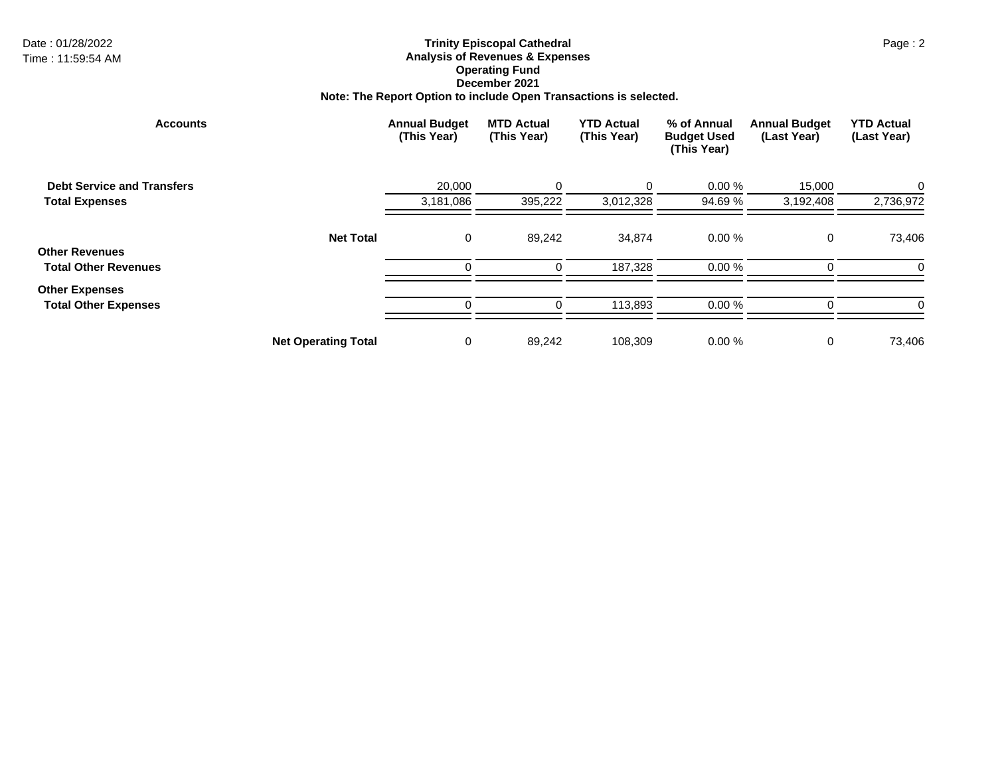## Date : 01/28/2022 Page : 2 **Trinity Episcopal Cathedral Analysis of Revenues & Expenses Operating Fund December 2021 Note: The Report Option to include Open Transactions is selected.**

| <b>Accounts</b>                                      |                            | <b>Annual Budget</b><br>(This Year) | <b>MTD Actual</b><br>(This Year) | <b>YTD Actual</b><br>(This Year) | % of Annual<br><b>Budget Used</b><br>(This Year) | <b>Annual Budget</b><br>(Last Year) | <b>YTD Actual</b><br>(Last Year) |
|------------------------------------------------------|----------------------------|-------------------------------------|----------------------------------|----------------------------------|--------------------------------------------------|-------------------------------------|----------------------------------|
| <b>Debt Service and Transfers</b>                    |                            | 20,000                              | $\Omega$                         |                                  | 0.00%                                            | 15,000                              | 0                                |
| <b>Total Expenses</b>                                |                            | 3,181,086                           | 395,222                          | 3,012,328                        | 94.69 %                                          | 3,192,408                           | 2,736,972                        |
| <b>Other Revenues</b>                                | <b>Net Total</b>           | 0                                   | 89,242                           | 34,874                           | 0.00%                                            | 0                                   | 73,406                           |
| <b>Total Other Revenues</b>                          |                            | $\Omega$                            | $\Omega$                         | 187,328                          | 0.00%                                            | ∩                                   | 0                                |
| <b>Other Expenses</b><br><b>Total Other Expenses</b> |                            | $\Omega$                            |                                  | 113,893                          | 0.00%                                            |                                     | 0                                |
|                                                      | <b>Net Operating Total</b> | 0                                   | 89,242                           | 108,309                          | 0.00%                                            | 0                                   | 73,406                           |